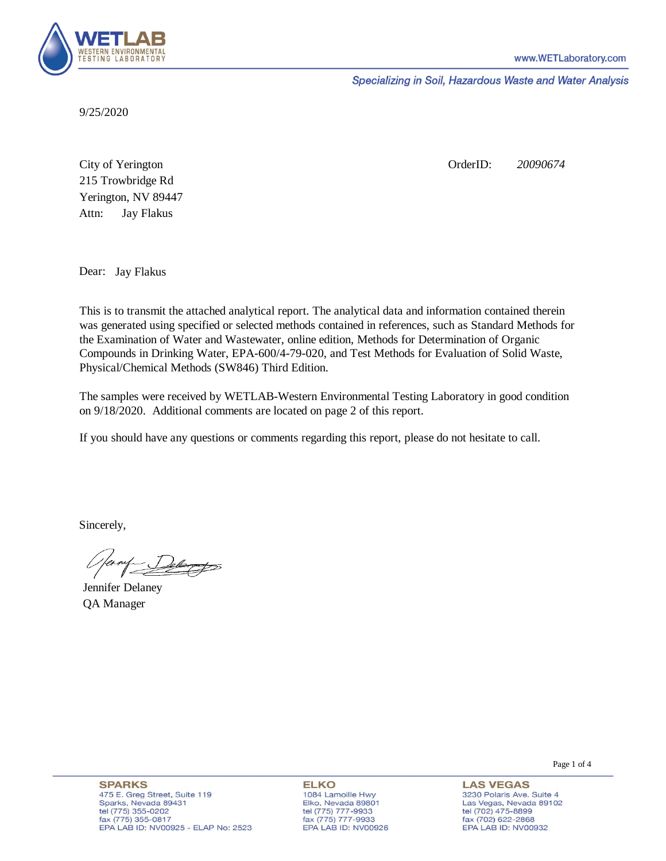

Specializing in Soil, Hazardous Waste and Water Analysis

9/25/2020

Attn: City of Yerington 215 Trowbridge Rd Jay Flakus Yerington, NV 89447 OrderID: *20090674*

Dear: Jay Flakus

This is to transmit the attached analytical report. The analytical data and information contained therein was generated using specified or selected methods contained in references, such as Standard Methods for the Examination of Water and Wastewater, online edition, Methods for Determination of Organic Compounds in Drinking Water, EPA-600/4-79-020, and Test Methods for Evaluation of Solid Waste, Physical/Chemical Methods (SW846) Third Edition.

The samples were received by WETLAB-Western Environmental Testing Laboratory in good condition on 9/18/2020. Additional comments are located on page 2 of this report.

If you should have any questions or comments regarding this report, please do not hesitate to call.

Sincerely,

Jennifer Delaney QA Manager

Page 1 of 4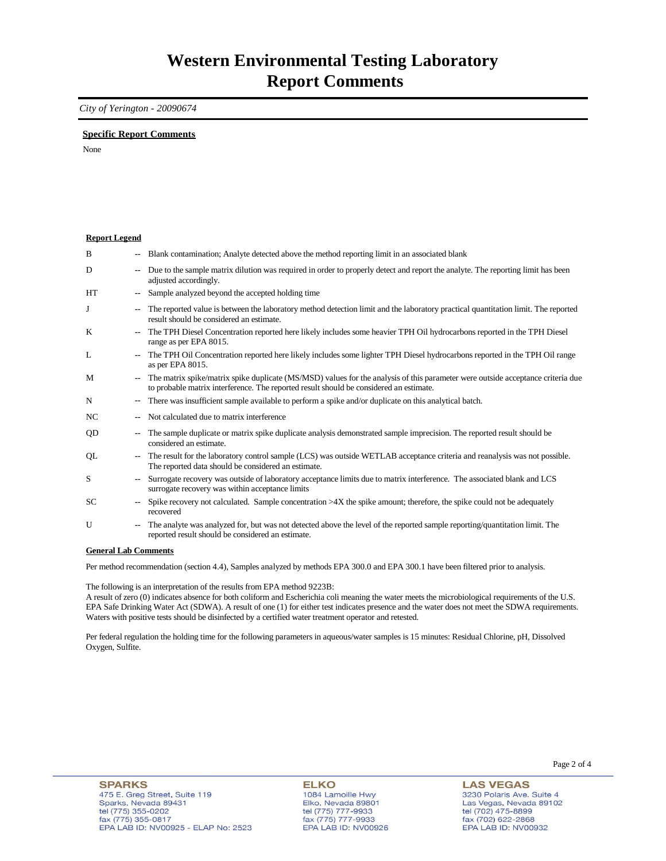## *City of Yerington - 20090674*

### **Specific Report Comments**

None

#### **Report Legend**

| B         | $\sim$                   | Blank contamination; Analyte detected above the method reporting limit in an associated blank                                                                                                                             |
|-----------|--------------------------|---------------------------------------------------------------------------------------------------------------------------------------------------------------------------------------------------------------------------|
| D         | $\overline{\phantom{a}}$ | Due to the sample matrix dilution was required in order to properly detect and report the analyte. The reporting limit has been<br>adjusted accordingly.                                                                  |
| HT        | $\overline{\phantom{a}}$ | Sample analyzed beyond the accepted holding time                                                                                                                                                                          |
| J         | $\overline{\phantom{a}}$ | The reported value is between the laboratory method detection limit and the laboratory practical quantitation limit. The reported<br>result should be considered an estimate.                                             |
| K         | $\overline{\phantom{a}}$ | The TPH Diesel Concentration reported here likely includes some heavier TPH Oil hydrocarbons reported in the TPH Diesel<br>range as per EPA 8015.                                                                         |
| L         | $\overline{\phantom{a}}$ | The TPH Oil Concentration reported here likely includes some lighter TPH Diesel hydrocarbons reported in the TPH Oil range<br>as per EPA 8015.                                                                            |
| M         | $\overline{\phantom{a}}$ | The matrix spike/matrix spike duplicate (MS/MSD) values for the analysis of this parameter were outside acceptance criteria due<br>to probable matrix interference. The reported result should be considered an estimate. |
| N         | $\overline{\phantom{a}}$ | There was insufficient sample available to perform a spike and/or duplicate on this analytical batch.                                                                                                                     |
| NC        | $\overline{\phantom{a}}$ | Not calculated due to matrix interference                                                                                                                                                                                 |
| QD        | $\overline{\phantom{a}}$ | The sample duplicate or matrix spike duplicate analysis demonstrated sample imprecision. The reported result should be<br>considered an estimate.                                                                         |
| QL        | $\overline{\phantom{a}}$ | The result for the laboratory control sample (LCS) was outside WETLAB acceptance criteria and reanalysis was not possible.<br>The reported data should be considered an estimate.                                         |
| S         | $\overline{\phantom{a}}$ | Surrogate recovery was outside of laboratory acceptance limits due to matrix interference. The associated blank and LCS<br>surrogate recovery was within acceptance limits                                                |
| <b>SC</b> | $\overline{\phantom{a}}$ | Spike recovery not calculated. Sample concentration >4X the spike amount; therefore, the spike could not be adequately<br>recovered                                                                                       |
| U         | $\overline{\phantom{a}}$ | The analyte was analyzed for, but was not detected above the level of the reported sample reporting/quantitation limit. The<br>reported result should be considered an estimate.                                          |

#### **General Lab Comments**

Per method recommendation (section 4.4), Samples analyzed by methods EPA 300.0 and EPA 300.1 have been filtered prior to analysis.

The following is an interpretation of the results from EPA method 9223B:

A result of zero (0) indicates absence for both coliform and Escherichia coli meaning the water meets the microbiological requirements of the U.S. EPA Safe Drinking Water Act (SDWA). A result of one (1) for either test indicates presence and the water does not meet the SDWA requirements. Waters with positive tests should be disinfected by a certified water treatment operator and retested.

Per federal regulation the holding time for the following parameters in aqueous/water samples is 15 minutes: Residual Chlorine, pH, Dissolved Oxygen, Sulfite.

**ELKO** 1084 Lamoille Hwy Elko, Nevada 89801 tel (775) 777-9933<br>fax (775) 777-9933 EPA LAB ID: NV00926 **LAS VEGAS** 3230 Polaris Ave. Suite 4 Las Vegas, Nevada 89102

tel (702) 475-8899<br>fax (702) 622-2868

EPA LAB ID: NV00932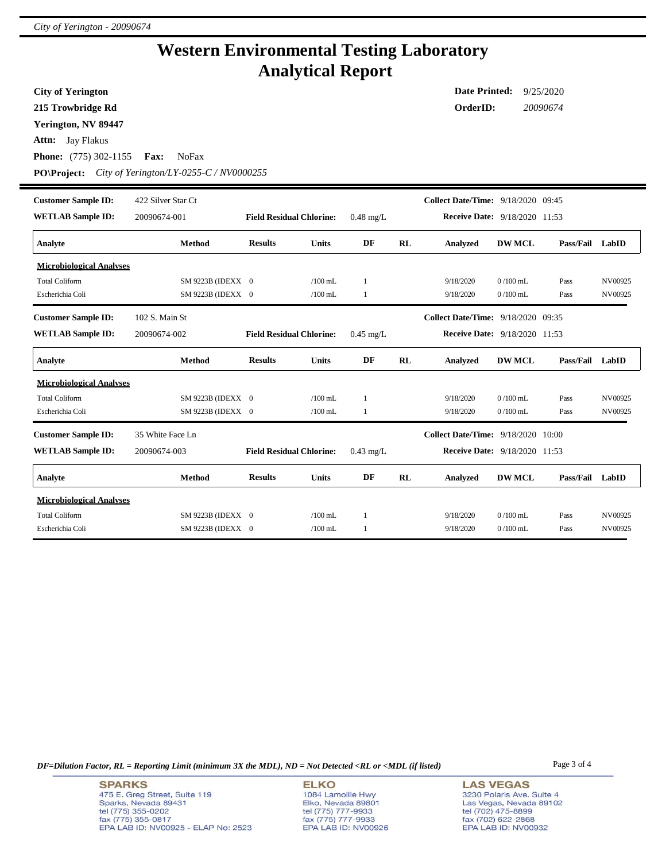## **Western Environmental Testing Laboratory Analytical Report**

**City of Yerington**

**215 Trowbridge Rd**

**Yerington, NV 89447**

**Attn:** Jay Flakus

**Phone:** (775) 302-1155 **Fax:** NoFax

**PO\Project:** *City of Yerington/LY-0255-C / NV0000255*

| <b>Customer Sample ID:</b>      | 422 Silver Star Ct |                                 |              |                     |    | Collect Date/Time: 9/18/2020 09:45   |               |           |         |
|---------------------------------|--------------------|---------------------------------|--------------|---------------------|----|--------------------------------------|---------------|-----------|---------|
| <b>WETLAB Sample ID:</b>        | 20090674-001       | <b>Field Residual Chlorine:</b> |              | $0.48 \text{ mg/L}$ |    | <b>Receive Date:</b> 9/18/2020 11:53 |               |           |         |
| Analyte                         | <b>Method</b>      | <b>Results</b>                  | <b>Units</b> | DF                  | RL | <b>Analyzed</b>                      | <b>DW MCL</b> | Pass/Fail | LabID   |
| <b>Microbiological Analyses</b> |                    |                                 |              |                     |    |                                      |               |           |         |
| <b>Total Coliform</b>           | SM 9223B (IDEXX 0  |                                 | $/100$ mL    | 1                   |    | 9/18/2020                            | $0/100$ mL    | Pass      | NV00925 |
| Escherichia Coli                | SM 9223B (IDEXX 0  |                                 | $/100$ mL    | 1                   |    | 9/18/2020                            | $0/100$ mL    | Pass      | NV00925 |
| <b>Customer Sample ID:</b>      | 102 S. Main St     |                                 |              |                     |    | Collect Date/Time: 9/18/2020 09:35   |               |           |         |
| <b>WETLAB Sample ID:</b>        | 20090674-002       | <b>Field Residual Chlorine:</b> |              | $0.45$ mg/L         |    | <b>Receive Date: 9/18/2020 11:53</b> |               |           |         |
| Analyte                         | <b>Method</b>      | <b>Results</b>                  | <b>Units</b> | DF                  | RL | <b>Analyzed</b>                      | <b>DW MCL</b> | Pass/Fail | LabID   |
| <b>Microbiological Analyses</b> |                    |                                 |              |                     |    |                                      |               |           |         |
| <b>Total Coliform</b>           | SM 9223B (IDEXX 0  |                                 | $/100$ mL    | 1                   |    | 9/18/2020                            | $0/100$ mL    | Pass      | NV00925 |
| Escherichia Coli                | SM 9223B (IDEXX 0  |                                 | $/100$ mL    | 1                   |    | 9/18/2020                            | $0/100$ mL    | Pass      | NV00925 |
| <b>Customer Sample ID:</b>      | 35 White Face Ln   |                                 |              |                     |    | Collect Date/Time: 9/18/2020 10:00   |               |           |         |
| <b>WETLAB Sample ID:</b>        | 20090674-003       | <b>Field Residual Chlorine:</b> |              | $0.43$ mg/L         |    | <b>Receive Date: 9/18/2020 11:53</b> |               |           |         |
| Analyte                         | <b>Method</b>      | <b>Results</b>                  | <b>Units</b> | DF                  | RL | <b>Analyzed</b>                      | <b>DW MCL</b> | Pass/Fail | LabID   |
| <b>Microbiological Analyses</b> |                    |                                 |              |                     |    |                                      |               |           |         |
| <b>Total Coliform</b>           | SM 9223B (IDEXX 0  |                                 | $/100$ mL    | 1                   |    | 9/18/2020                            | $0/100$ mL    | Pass      | NV00925 |
| Escherichia Coli                | SM 9223B (IDEXX 0  |                                 | $/100$ mL    | 1                   |    | 9/18/2020                            | $0/100$ mL    | Pass      | NV00925 |

*DF=Dilution Factor, RL = Reporting Limit (minimum 3X the MDL), ND = Not Detected <RL or <MDL (if listed)* Page 3 of 4

**ELKO** 1084 Lamoille Hwy Elko, Nevada 89801<br>tel (775) 777-9933<br>fax (775) 777-9933 EPA LAB ID: NV00926 **LAS VEGAS** 3230 Polaris Ave. Suite 4 Las Vegas, Nevada 89102 tel (702) 475-8899<br>fax (702) 622-2868 EPA LAB ID: NV00932

**Date Printed:** 9/25/2020 **OrderID:** *20090674*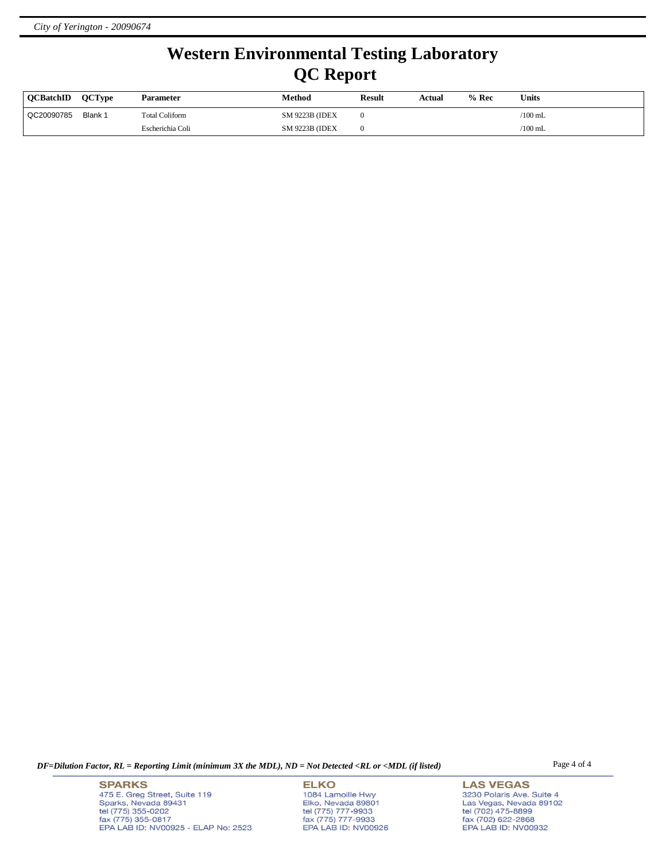# **Western Environmental Testing Laboratory QC Report**

| <b>OCBatchID</b> | <b>OCType</b> | Parameter             | Method                 | <b>Result</b> | Actual | $%$ Rec | Units     |
|------------------|---------------|-----------------------|------------------------|---------------|--------|---------|-----------|
| QC20090785       | Blank 1       | <b>Total Coliform</b> | <b>SM 9223B (IDEX)</b> |               |        |         | /100 mL   |
|                  |               | Escherichia Coli      | <b>SM 9223B (IDEX)</b> |               |        |         | $/100$ mL |

*DF=Dilution Factor, RL = Reporting Limit (minimum 3X the MDL), ND = Not Detected <RL or <MDL (if listed)* Page 4 of 4

**SPARKS** 475 E. Greg Street, Suite 119 Sparks, Nevada 89431<br>tel (775) 355-0202<br>fax (775) 355-0817 EPA LAB ID: NV00925 - ELAP No: 2523

**ELKO** 1084 Lamoille Hwy Elko, Nevada 89801<br>tel (775) 777-9933<br>fax (775) 777-9933 EPA LAB ID: NV00926

**LAS VEGAS** 3230 Polaris Ave. Suite 4 Las Vegas, Nevada 89102<br>tel (702) 475-8899<br>fax (702) 622-2868<br>EPA LAB ID: NV00932